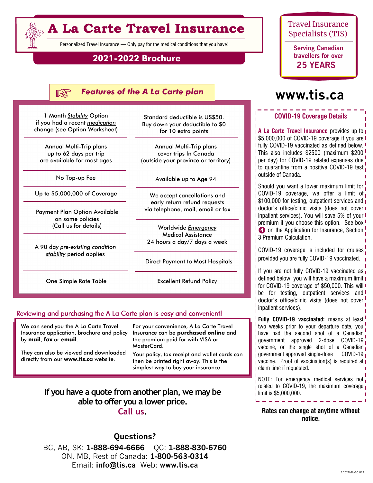# **A La Carte Travel Insurance**

Personalized Travel Insurance — Only pay for the medical conditions that you have!

### **2021-2022 Brochure**

#### **KS** *Features of the A La Carte plan*

1 Month *Stability* Option if you had a recent *medication* change (see Option Worksheet)

Annual Multi-Trip plans up to 62 days per trip are available for most ages

No Top-up Fee

Up to \$5,000,000 of Coverage

Payment Plan Option Available on some policies (Call us for details)

A 90 day *pre-existing condition stability* period applies

One Simple Rate Table

Standard deductible is US\$50. Buy down your deductible to \$0 for 10 extra points

Annual Multi-Trip plans cover trips In Canada (outside your province or territory)

Available up to Age 94

We accept cancellations and early return refund requests via telephone, mail, email or fax

Worldwide *Emergency* Medical Assistance 24 hours a day/7 days a week

Direct Payment to Most Hospitals

Excellent Refund Policy

### Reviewing and purchasing the A La Carte plan is easy and convenient!

We can send you the A La Carte Travel Insurance application, brochure and policy by **mail**, **fax** or **email**.

They can also be viewed and downloaded directly from our **www.tis.ca** website.

For your convenience, A La Carte Travel Insurance can be **purchased online** and the premium paid for with VISA or MasterCard.

Your policy, tax receipt and wallet cards can then be printed right away. This is the simplest way to buy your insurance.

### **If you have a quote from another plan, we may be able to offer you a lower price. Call us.**

**Questions?** BC, AB, SK: **1-888-694-6666** QC: **1-888-830-6760**  ON, MB, Rest of Canada: **1-800-563-0314**  Email: **info@tis.ca** Web: **www.tis.ca**

### Travel Insurance Specialists (TIS)

**Serving Canadian travellers for over 25 YEARS**

# **www.tis.ca**

### **COVID-19 Coverage Details**

**A La Carte Travel Insurance** provides up to **I 1\$5,000,000 of COVID-19 coverage if you are I** fully COVID-19 vaccinated as defined below. This also includes \$2500 (maximum \$200 per day) for COVID-19 related expenses due to quarantine from a positive COVID-19 test outside of Canada.

Should you want a lower maximum limit for  $\int$  COVID-19 coverage, we offer a limit of  $\frac{1}{1}$ \$100,000 for testing, outpatient services and  $\frac{1}{1}$ I doctor's office/clinic visits (does not cover I I inpatient services). You will save 5% of your I **I** premium if you choose this option. See box **I D** on the Application for Insurance, Section! 3 Premium Calculation.

COVID-19 coverage is included for cruises provided you are fully COVID-19 vaccinated.

If you are not fully COVID-19 vaccinated as  $\overline{I}$ **I** defined below, you will have a maximum limit **I I** for COVID-19 coverage of \$50,000. This will I **I** be for testing, outpatient services and **I** doctor's office/clinic visits (does not cover! inpatient services).

**Fully COVID-19 vaccinated:** means at least two weeks prior to your departure date, you have had the second shot of a Canadian government approved 2-dose COVID-19 vaccine, or the single shot of a Canadian government approved single-dose  $COVID-19$ **vaccine.** Proof of vaccination(s) is required at  $\mathbf{I}$ claim time if requested.

NOTE: For emergency medical services not related to COVID-19, the maximum coverage **I** limit is \$5,000,000.

**Rates can change at anytime without notice.**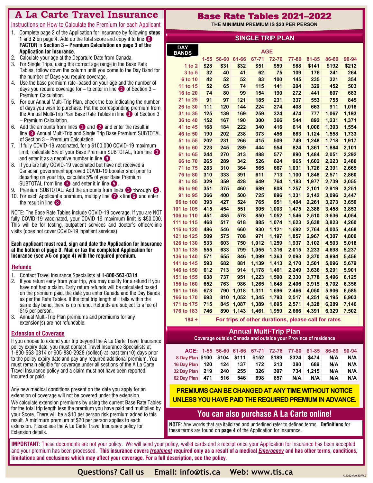### **A La Carte Travel Insurance**

### **Created by Travel Insurance Specialists** Instructions on How to Calculate the Premium for each Applicant

- 1. Complete page 2 of the Application for Insurance by following **steps 1** and **2** on page 4. Add up the total score and copy it to line **❻ FACTOR** in **Section 3 – Premium Calculation on page 3 of the Application for Insurance**.
- 2. Calculate your age at the Departure Date from Canada.
- 3. For Single Trips, using the correct age range in the Base Rate Tables, follow down the column until you come to the Day Band for the number of Days you require coverage.
- 4. Use the base premium rate–based on your age and the number of days you require coverage for  $-$  to enter in line  $\bullet$  of Section 3 – Premium Calculation.
- 5. For our Annual Multi-Trip Plan, check the box indicating the number of days you wish to purchase. Put the corresponding premium from the Annual Multi-Trip Plan Base Rate Tables in line **1** of Section 3 – Premium Calculation.
- 6. Add the amounts from lines  $\bigcirc$  and  $\bigcirc$  and enter the result in line ❸ Annual Multi-Trip and Single Trip Base Premium SUBTOTAL of Section 3 – Premium Calculation.
- 7. If fully COVID-19 vaccinated, for a \$100,000 COVID-19 maximum limit; calculate 5% of your Base Premium SUBTOTAL, from line and enter it as a negative number in line **❹**.
- 8. If you are fully COVID-19 vaccinated but have not received a Canadian government approved COVID-19 booster shot prior to departing on your trip, calculate 5% of your Base Premium SUBTOTAL from line ❸ and enter it in line **❺**.
- 9. Premium SUBTOTAL: Add the amounts from lines ❸ through **❺**.
- 10. For each Applicant's premium, multiply line **❼** x line**❻** and enter the result in line  $\langle 8 \rangle$ .

NOTE: The Base Rate Tables include COVID-19 coverage. If you are NOT fully COVID-19 vaccinated, your COVID-19 maximum limit is \$50,000. This will be for testing, outpatient services and doctor's office/clinic visits (does not cover COVID-19 inpatient services).

**Each applicant must read, sign and date the Application for Insurance at the bottom of page 3**. **Mail or fax the completed Application for Insurance (see #5 on page 4) with the required premium.**

### **\Refunds**

- 1. Contact Travel Insurance Specialists at **1-800-563-0314**.
- 2. If you return early from your trip, you may qualify for a refund if you have not had a claim. Early return refunds will be calculated based on the premium paid, the date you enter Canada and the Day Bands as per the Rate Tables. If the total trip length still falls within the same day band, there is no refund. Refunds are subject to a fee of \$15 per person.
- 3. Annual Multi-Trip Plan premiums and premiums for any extension(s) are not refundable.

### **Extension of Coverage**

If you choose to extend your trip beyond the A La Carte Travel Insurance policy expiry date, you must contact Travel Insurance Specialists at 1-800-563-0314 or 905-830-2928 (collect) at least ten(10) days prior to the policy expiry date and pay any required additional premium. You must remain eligible for coverage under all sections of the A La Carte Travel Insurance policy and a claim must not have been reported, incurred or paid.

Any new medical conditions present on the date you apply for an extension of coverage will not be covered under the extension.

We calculate extension premiums by using the current Base Rate Tables for the total trip length less the premium you have paid and multiplied by your Score. There will be a \$10 per person risk premium added to this result. A minimum premium of \$20 per person applies to each extension. Please see the A La Carte Travel Insurance policy for Extension details.

### Base Rate Tables 2021–2022

**THE MINIMUM PREMIUM IS \$20 PER PERSON**

| <b>SINGLE TRIP PLAN</b> |            |            |            |            |            |                |                |                |                |
|-------------------------|------------|------------|------------|------------|------------|----------------|----------------|----------------|----------------|
| <b>DAY</b>              |            |            |            |            |            |                |                |                |                |
| <b>BANDS</b>            |            |            |            |            | <b>AGE</b> |                |                |                |                |
|                         | $1 - 55$   | 56-60      | 61-66      | 67-71      | 72-76      | 77-80          | 81-85          | 86-89          | 90-94          |
| 1 to $2$                | \$28       | \$31       | \$32       | \$51       | \$59       | \$88           | \$141          | \$192          | \$212          |
| 3 to 5                  | 32         | 40         | 41         | 62         | 75         | 109            | 176            | 241            | 264            |
| 6 to 10                 | 42         | 52         | 52         | 83         | 100        | 145            | 235            | 321            | 354            |
| 11 to 15                | 52         | 65         | 74         | 115        | 141        | 204            | 329            | 452            | 503            |
| 16 to 20                | 74         | 80         | 99         | 154        | 190        | 272            | 441            | 607            | 683            |
| 21 to 25                | 91         | 97         | 121        | 185        | 231        | 337            | 553            | 755            | 845            |
| 26 to 30                | 111        | 120        | 144        | 224        | 274        | 408            | 663            | 911            | 1,018          |
| 31 to 35                | 125        | 139        | 169        | 259        | 324        | 474            | 777            | 1,067          | 1,193          |
| 36 to 40                | 152        | 167        | 190        | 300        | 366        | 544            | 892            | 1,231          | 1,371          |
| 41 to 45                | 168        | 184        | 222        | 340        | 416        | 614            | 1,006          | 1,393          | 1,554          |
| 46 to 50                | 190        | 202        | 238        | 373        | 456        | 683            | 1,124          | 1,558          | 1,733          |
| 51 to 55                | 202        | 231        | 266        | 415        | 509        | 749            | 1,248          | 1,718          | 1,917          |
| 56 to 60                | 223        | 245        | 289        | 444        | 554        | 824            | 1,361          | 1,884          | 2,101          |
| 61 to 65                | 244        | 270        | 313        | 488        | 577        | 890            | 1,484          | 2,051          | 2,292          |
| 66 to 70                | 265        | 289        | 342        | 526        | 624        | 965            | 1,602          | 2,223          | 2,480          |
| 71 to 75                | 283        | 310        | 364        | 565        | 667        | 1,031          | 1,726          | 2,391          | 2,665          |
| 76 to 80                | 310<br>329 | 333<br>359 | 391<br>428 | 611<br>649 | 713        | 1,100          | 1,848          | 2,571          | 2,860          |
| 81 to 85                | 351        |            | 460        | 689        | 764        | 1,183          | 1,977<br>2,101 | 2,739          | 3,055          |
| 86 to 90                | 366        | 375<br>400 | 500        | 725        | 808        | 1,257          |                | 2,919          | 3,251          |
| 91 to 95<br>96 to 100   | 393        | 427        | 524        | 765        | 896<br>951 | 1,331<br>1,404 | 2,142<br>2,261 | 3,096          | 3,447          |
| 101 to 105              | 415        | 454        | 551        | 805        | 1,003      | 1,475          |                | 3,273          | 3,650          |
| 106 to 110              | 451        | 485        | 578        | 850        | 1,052      |                | 2,388<br>2,510 | 3,458<br>3,636 | 3,853<br>4,054 |
| 111 to 115              | 468        | 517        | 618        | 885        | 1,074      | 1,546<br>1,623 | 2,638          | 3,823          | 4,260          |
| 116 to 120              | 486        | 546        | 660        | 930        | 1,121      | 1,692          | 2,764          | 4,005          | 4,468          |
| 121 to 125              | 509        | 575        | 708        | 971        | 1,197      | 1,857          | 2,967          | 4,307          | 4,800          |
| 126 to 130              | 533        | 603        | 750        | 1,012      | 1,259      | 1,937          | 3,102          | 4,503          | 5,018          |
| 131 to 135              | 555        | 633        | 799        | 1,055      | 1,316      | 2,015          | 3,233          | 4,698          | 5,237          |
| 136 to 140              | 571        | 655        | 846        | 1,099      | 1,363      | 2,093          | 3,370          | 4,894          | 5,456          |
| 141 to 145              | 593        | 682        | 881        | 1,139      | 1,413      | 2,170          | 3,501          | 5,096          | 5,679          |
| 146 to 150              | 612        | 713        | 914        | 1,178      | 1,461      | 2,249          | 3,636          | 5,291          | 5,901          |
| 151 to 155              | 638        | 737        | 951        | 1,223      | 1,590      | 2,330          | 3,778          | 5,496          | 6,125          |
| 156 to 160              | 652        | 763        | 986        | 1,265      | 1,648      | 2,406          | 3,915          | 5,702          | 6,356          |
| 161 to 165              | 673        | 790        | 1,018      | 1,311      | 1,696      | 2,466          | 4,050          | 5,906          | 6,585          |
| 166 to 170              | 693        | 810        | 1,052      | 1,345      | 1,793      | 2,517          | 4,251          | 6,195          | 6,903          |
| 171 to 175              | 715        | 845        | 1,087      | 1,389      | 1,895      | 2,571          | 4,328          | 6,289          | 7,146          |
| 176 to 183              | 746        | 890        | 1,143      | 1,461      | 1,959      | 2,666          | 4,391          | 6,329          | 7,502          |
|                         |            |            |            |            |            |                |                |                |                |

**184 + For trips of other durations, please call for rates**

### **Annual Multi-Trip Plan**

**Coverage outside Canada and outside your Province of residence**

|                                          |     |                  |     |     | AGE: 1-55 56-60 61-66 67-71 72-76 77-80 81-85 86-89 |       |     | $90 - 94$ |
|------------------------------------------|-----|------------------|-----|-----|-----------------------------------------------------|-------|-----|-----------|
| 8 Day Plan \$100 \$104 \$111 \$152 \$189 |     |                  |     |     | \$324                                               | \$474 | N/A | N/A       |
| 16 Day Plan   120   124                  |     | 137 <sup>2</sup> | 172 | 213 | 380                                                 | 689   | N/A | N/A       |
| 32 Day Plan 219                          | 240 | 255              | 326 | 397 | 734                                                 | 1.215 | N/A | N/A       |
| 62 Day Plan 471                          | 516 | 546              | 698 | 857 | N/A                                                 | N/A   | N/A | N/A       |

**PREMIUMS CAN BE CHANGED AT ANY TIME WITHOUT NOTICE UNLESS YOU HAVE PAID THE REQUIRED PREMIUM IN ADVANCE.**

### **You can also purchase A La Carte online!**

**NOTE**: Any words that are italicized and underlined refer to defined terms. **Definitions** for these terms are found on **page 4** of the Application for Insurance.

**IMPORTANT**: These documents are not your policy. We will send your policy, wallet cards and a receipt once your Application for Insurance has been accepted and your premium has been processed. **This insurance covers** *treatment* **required only as a result of a medical** *Emergency* **and has other terms, conditions, limitations and exclusions which may affect your coverage. For a full description, see the policy**.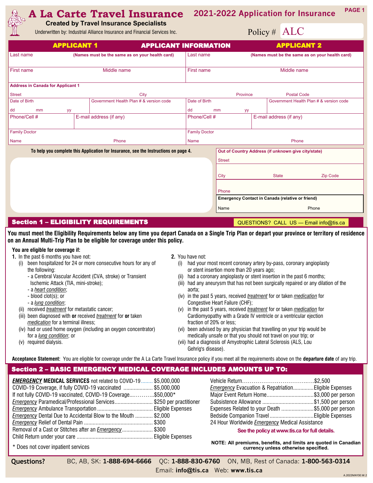#### **A La Carte Travel Insurance PAGE 1 2021-2022 Application for Insurance**

**Created by Travel Insurance Specialists**

Underwritten by: Industrial Alliance Insurance and Financial Services Inc.

## Policy # ALC

|                                          | <b>APPLICANT 1</b><br><b>APPLICANT INFORMATION</b>                                   |                      |               | <b>APPLICANT 2</b>                                      |  |  |
|------------------------------------------|--------------------------------------------------------------------------------------|----------------------|---------------|---------------------------------------------------------|--|--|
| Last name                                | (Names must be the same as on your health card)                                      | Last name            |               | (Names must be the same as on your health card)         |  |  |
| First name                               | Middle name                                                                          | First name           |               | Middle name                                             |  |  |
| <b>Address in Canada for Applicant 1</b> |                                                                                      |                      |               |                                                         |  |  |
| <b>Street</b>                            | City                                                                                 |                      | Province      | <b>Postal Code</b>                                      |  |  |
| Date of Birth                            | Government Health Plan # & version code                                              | Date of Birth        |               | Government Health Plan # & version code                 |  |  |
| dd<br>mm<br>уу                           |                                                                                      | dd                   | mm<br>уу      |                                                         |  |  |
| Phone/Cell #                             | E-mail address (if any)                                                              | Phone/Cell #         |               | E-mail address (if any)                                 |  |  |
| <b>Family Doctor</b>                     |                                                                                      | <b>Family Doctor</b> |               |                                                         |  |  |
| <b>Name</b>                              | Phone                                                                                | <b>Name</b>          |               | Phone                                                   |  |  |
|                                          | To help you complete this Application for Insurance, see the Instructions on page 4. |                      |               | Out of Country Address (if unknown give city/state)     |  |  |
|                                          |                                                                                      |                      | <b>Street</b> |                                                         |  |  |
|                                          |                                                                                      |                      |               |                                                         |  |  |
|                                          |                                                                                      |                      | City          | <b>State</b><br><b>Zip Code</b>                         |  |  |
|                                          |                                                                                      |                      |               |                                                         |  |  |
|                                          |                                                                                      |                      | Phone         |                                                         |  |  |
|                                          |                                                                                      |                      |               | <b>Emergency Contact in Canada (relative or friend)</b> |  |  |
|                                          |                                                                                      |                      | Name          | Phone                                                   |  |  |

### Section 1 – ELIGIBILITY REQUIREMENTS

QUESTIONS? CALL US — Email info@tis.ca

**You must meet the Eligibility Requirements below any time you depart Canada on a Single Trip Plan or depart your province or territory of residence on an Annual Multi-Trip Plan to be eligible for coverage under this policy.**

#### **You are eligible for coverage if:**

- **1.** In the past 6 months you have not:
	- (i) been hospitalized for 24 or more consecutive hours for any of the following:
		- a Cerebral Vascular Accident (CVA, stroke) or Transient Ischemic Attack (TIA, mini-stroke);
		- a *heart condition*;
		- blood clot(s); or
		- a *lung condition*;
	- (ii) received *treatment* for metastatic cancer;
	- (iii) been diagnosed with **or** received *treatment* for **or** taken *medication* for a terminal illness;
	- (iv) had or used home oxygen (including an oxygen concentrator) for a *lung condition*; or
	- (v) required dialysis.
- **2.** You have not:
	- (i) had your most recent coronary artery by-pass, coronary angioplasty or stent insertion more than 20 years ago;
	- (ii) had a coronary angioplasty or stent insertion in the past 6 months;
	- (iii) had any aneurysm that has not been surgically repaired or any dilation of the aorta;
	- (iv) in the past 5 years, received *treatment* for or taken *medication* for Congestive Heart Failure (CHF);
	- (v) in the past 5 years, received *treatment* for or taken *medication* for Cardiomyopathy with a Grade IV ventricle or a ventricular ejection fraction of 20% or less;
	- (vi) been advised by any physician that travelling on your trip would be medically unsafe or that you should not travel on your trip; or
	- (vii) had a diagnosis of Amyotrophic Lateral Sclerosis (ALS, Lou Gehrig's disease).

**Acceptance Statement:** You are eligible for coverage under the A La Carte Travel Insurance policy if you meet all the requirements above on the **departure date** of any trip.

### Section 2 – BASIC EMERGENCY MEDICAL COVERAGE INCLUDES AMOUNTS UP TO:

| <b>EMERGENCY MEDICAL SERVICES</b> not related to COVID-19  \$5,000,000   |  |
|--------------------------------------------------------------------------|--|
| COVID-19 Coverage, if fully COVID-19 vaccinated \$5,000,000              |  |
| If not fully COVID-19 vaccinated, COVID-19 Coverage\$50,000*             |  |
| <b>Emergency</b> Paramedical/Professional Services\$250 per practitioner |  |
|                                                                          |  |
| <b>Emergency Dental Due to Accidental Blow to the Mouth </b> \$2,000     |  |
|                                                                          |  |
| Removal of a Cast or Stitches after an <i>Emergency</i> \$300            |  |
|                                                                          |  |

| Emergency Evacuation & Repatriation Eligible Expenses |  |  |  |  |  |
|-------------------------------------------------------|--|--|--|--|--|
| Major Event Return Home\$3,000 per person             |  |  |  |  |  |
| Subsistence Allowance \$1,500 per person              |  |  |  |  |  |
| Expenses Related to your Death \$5,000 per person     |  |  |  |  |  |
| Bedside Companion Travel Eligible Expenses            |  |  |  |  |  |
| 24 Hour Worldwide Emergency Medical Assistance        |  |  |  |  |  |

#### **See the policy at www.tis.ca for full details.**

\* Does not cover inpatient services

**NOTE: All premiums, benefits, and limits are quoted in Canadian currency unless otherwise specified.**

**Questions?** BC, AB, SK: **1-888-694-6666** QC: **1-888-830-6760** ON, MB, Rest of Canada: **1-800-563-0314** 

Email: **info@tis.ca** Web: **www.tis.ca**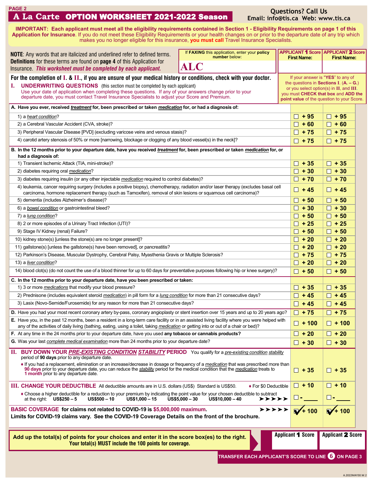| <b>PAGE 2</b> |                                              |  |
|---------------|----------------------------------------------|--|
|               | A La Carte OPTION WORKSHEET 2021-2022 Season |  |

### **Questions? Call Us Email: info@tis.ca Web: www.tis.ca**

**IMPORTANT:** Each applicant must meet all the eligibility requirements contained in Section 1 - Eligibility Requirements on page 1 of this **Application for Insurance**. If you do not meet these Eligibility Requirements or your health changes on or prior to the departure date of any trip which makes you no longer eligible for this insurance, **you must call** Travel Insurance Specialists.

| If FAXING this application, enter your policy<br><b>NOTE:</b> Any words that are italicized and underlined refer to defined terms.<br>number below:<br><b>First Name:</b><br><b>Definitions</b> for these terms are found on <b>page 4</b> of this Application for<br><b>ALC</b><br>Insurance. This worksheet must be completed by each applicant.                                                                                                 |                                                     |              |                                                                                                                                                                                                               | <b>APPLICANT 1 Score   APPLICANT 2 Score</b><br><b>First Name:</b> |  |
|----------------------------------------------------------------------------------------------------------------------------------------------------------------------------------------------------------------------------------------------------------------------------------------------------------------------------------------------------------------------------------------------------------------------------------------------------|-----------------------------------------------------|--------------|---------------------------------------------------------------------------------------------------------------------------------------------------------------------------------------------------------------|--------------------------------------------------------------------|--|
| For the completion of I. & II., if you are unsure of your medical history or conditions, check with your doctor.<br><b>UNDERWRITING QUESTIONS</b> (this section must be completed by each applicant)<br>L.<br>Use your date of application when completing these questions. If any of your answers change prior to your<br>departure date, you must contact Travel Insurance Specialists to adjust your Score and Premium.                         |                                                     |              | If your answer is "YES" to any of<br>the questions in Sections I. $(A. - G.)$<br>or you select option(s) in II, and III.<br>you must CHECK that box and ADD the<br>point value of the question to your Score. |                                                                    |  |
| A. Have you ever, received treatment for, been prescribed or taken medication for, or had a diagnosis of:                                                                                                                                                                                                                                                                                                                                          |                                                     |              |                                                                                                                                                                                                               |                                                                    |  |
| 1) a heart condition?                                                                                                                                                                                                                                                                                                                                                                                                                              |                                                     |              | $\Box$ + 95                                                                                                                                                                                                   | $+95$<br>П                                                         |  |
| 2) a Cerebral Vascular Accident (CVA, stroke)?                                                                                                                                                                                                                                                                                                                                                                                                     |                                                     |              | $\Box$ + 60                                                                                                                                                                                                   | $\Box$ + 60                                                        |  |
| 3) Peripheral Vascular Disease [PVD] (excluding varicose veins and venous stasis)?                                                                                                                                                                                                                                                                                                                                                                 |                                                     |              | $\Box$ + 75                                                                                                                                                                                                   | $\Box$ + 75                                                        |  |
| 4) carotid artery stenosis of 50% or more [narrowing, blockage or clogging of any blood vessel(s) in the neck]?                                                                                                                                                                                                                                                                                                                                    |                                                     |              | $\Box$ + 75                                                                                                                                                                                                   | $\Box$ + 75                                                        |  |
| B. In the 12 months prior to your departure date, have you received <i>treatment</i> for, been prescribed or taken <i>medication</i> for, or<br>had a diagnosis of:                                                                                                                                                                                                                                                                                |                                                     |              |                                                                                                                                                                                                               |                                                                    |  |
| 1) Transient Ischemic Attack (TIA, mini-stroke)?                                                                                                                                                                                                                                                                                                                                                                                                   |                                                     |              | $\Box$ + 35                                                                                                                                                                                                   | $\Box$ + 35                                                        |  |
| 2) diabetes requiring oral medication?                                                                                                                                                                                                                                                                                                                                                                                                             |                                                     |              | $\Box$ + 30                                                                                                                                                                                                   | $\Box$ + 30                                                        |  |
| 3) diabetes requiring insulin (or any other injectable <i>medication</i> required to control diabetes)?                                                                                                                                                                                                                                                                                                                                            |                                                     |              | $\Box$ + 70                                                                                                                                                                                                   | $\Box$ + 70                                                        |  |
| 4) leukemia, cancer requiring surgery (includes a positive biopsy), chemotherapy, radiation and/or laser therapy (excludes basal cell                                                                                                                                                                                                                                                                                                              |                                                     |              |                                                                                                                                                                                                               |                                                                    |  |
| carcinoma, hormone replacement therapy (such as Tamoxifen), removal of skin lesions or squamous cell carcinoma)?                                                                                                                                                                                                                                                                                                                                   |                                                     |              | $\Box$ +45                                                                                                                                                                                                    | $\Box$ +45                                                         |  |
| 5) dementia (includes Alzheimer's disease)?                                                                                                                                                                                                                                                                                                                                                                                                        |                                                     |              | $\Box$ + 50                                                                                                                                                                                                   | $\Box$ + 50                                                        |  |
| 6) a bowel condition or gastrointestinal bleed?                                                                                                                                                                                                                                                                                                                                                                                                    |                                                     |              | $+30$<br>П                                                                                                                                                                                                    | $+30$<br>П.                                                        |  |
| 7) a lung condition?                                                                                                                                                                                                                                                                                                                                                                                                                               |                                                     |              | $\Box$ + 50                                                                                                                                                                                                   | $\Box$ + 50                                                        |  |
| 8) 2 or more episodes of a Urinary Tract Infection (UTI)?                                                                                                                                                                                                                                                                                                                                                                                          |                                                     |              | $\Box$ + 25                                                                                                                                                                                                   | $\Box$ + 25                                                        |  |
| 9) Stage IV Kidney (renal) Failure?                                                                                                                                                                                                                                                                                                                                                                                                                |                                                     |              | $\Box$ + 50                                                                                                                                                                                                   | $\Box$ + 50                                                        |  |
| 10) kidney stone(s) [unless the stone(s) are no longer present]?                                                                                                                                                                                                                                                                                                                                                                                   |                                                     |              | $\Box$ + 20                                                                                                                                                                                                   | $\Box$ + 20                                                        |  |
| 11) gallstone(s) [unless the gallstone(s) have been removed], or pancreatitis?                                                                                                                                                                                                                                                                                                                                                                     |                                                     | $\Box$ + 20  | $\Box$ + 20                                                                                                                                                                                                   |                                                                    |  |
| 12) Parkinson's Disease, Muscular Dystrophy, Cerebral Palsy, Myasthenia Gravis or Multiple Sclerosis?                                                                                                                                                                                                                                                                                                                                              |                                                     | $\Box$ + 75  | $\Box$ + 75                                                                                                                                                                                                   |                                                                    |  |
| 13) a liver condition?                                                                                                                                                                                                                                                                                                                                                                                                                             |                                                     |              |                                                                                                                                                                                                               | $+20$<br>LI.                                                       |  |
| 14) blood clot(s) (do not count the use of a blood thinner for up to 60 days for preventative purposes following hip or knee surgery)?                                                                                                                                                                                                                                                                                                             |                                                     |              | $\Box$ + 50                                                                                                                                                                                                   | $\Box$ + 50                                                        |  |
| C. In the 12 months prior to your departure date, have you been prescribed or taken:                                                                                                                                                                                                                                                                                                                                                               |                                                     |              |                                                                                                                                                                                                               |                                                                    |  |
| 1) 3 or more <i>medications</i> that modify your blood pressure?                                                                                                                                                                                                                                                                                                                                                                                   |                                                     | $+35$<br>H   | $\Box$ + 35                                                                                                                                                                                                   |                                                                    |  |
| 2) Prednisone (includes equivalent steroid medication) in pill form for a lung condition for more than 21 consecutive days?                                                                                                                                                                                                                                                                                                                        |                                                     | $\Box$ + 45  | $\Box$ + 45                                                                                                                                                                                                   |                                                                    |  |
| 3) Lasix (Novo-Semide/Furosemide) for any reason for more than 21 consecutive days?                                                                                                                                                                                                                                                                                                                                                                |                                                     | $\Box$ + 45  | $\Box$ +45                                                                                                                                                                                                    |                                                                    |  |
| D. Have you had your most recent coronary artery by-pass, coronary angioplasty or stent insertion over 15 years and up to 20 years ago?                                                                                                                                                                                                                                                                                                            |                                                     | $\Box$ + 75  | $\Box$ + 75                                                                                                                                                                                                   |                                                                    |  |
| E. Have you, in the past 12 months, been a resident in a long-term care facility or in an assisted living facility where you were helped with<br>any of the activities of daily living (bathing, eating, using a toilet, taking <i>medication</i> or getting into or out of a chair or bed)?                                                                                                                                                       |                                                     | $\Box$ + 100 | $\square$ + 100                                                                                                                                                                                               |                                                                    |  |
| F. At any time in the 24 months prior to your departure date, have you used any tobacco or cannabis products?                                                                                                                                                                                                                                                                                                                                      |                                                     |              | $\Box$ + 20                                                                                                                                                                                                   | $\Box$ + 20                                                        |  |
| G. Was your last complete medical examination more than 24 months prior to your departure date?                                                                                                                                                                                                                                                                                                                                                    |                                                     |              | $\Box$ + 30                                                                                                                                                                                                   | $\Box$ + 30                                                        |  |
| BUY DOWN YOUR PRE-EXISTING CONDITION STABILITY PERIOD You qualify for a pre-existing condition stability<br>н.<br>period of 90 days prior to any departure date.<br>If you had a replacement, elimination or an increase/decrease in dosage or frequency of a <i>medication</i> that was prescribed more than<br>90 days prior to your departure date, you can reduce the stability period for the medical condition that the medication treats to |                                                     | $\Box$ + 35  | $\Box$ + 35                                                                                                                                                                                                   |                                                                    |  |
| 1 month prior to any departure date.                                                                                                                                                                                                                                                                                                                                                                                                               |                                                     |              | $\Box$ + 10                                                                                                                                                                                                   | $\Box$ + 10                                                        |  |
| III. CHANGE YOUR DEDUCTIBLE All deductible amounts are in U.S. dollars (US\$) Standard is US\$50.<br>◆ For \$0 Deductible<br>• Choose a higher deductible for a reduction to your premium by indicating the point value for your chosen deductible to subtract                                                                                                                                                                                     |                                                     |              |                                                                                                                                                                                                               |                                                                    |  |
| at the right: $US$250-5$<br>$US$500 - 10$<br>$US$1,000 - 15$                                                                                                                                                                                                                                                                                                                                                                                       | $US$5,000 - 30$<br>$US$10,000 - 40$<br>>>>>>        |              | $\Box$ $\blacksquare$                                                                                                                                                                                         | $\Box$ $\blacksquare$                                              |  |
| BASIC COVERAGE for claims not related to COVID-19 is \$5,000,000 maximum.<br>Limits for COVID-19 claims vary. See the COVID-19 Coverage Details on the front of the brochure.                                                                                                                                                                                                                                                                      | >>>>>                                               |              | $\sqrt{1 + 100}$                                                                                                                                                                                              | $\sqrt{1 + 100}$                                                   |  |
| Add up the total(s) of points for your choices and enter it in the score box(es) to the right.<br>Your total(s) MUST include the 100 points for coverage.                                                                                                                                                                                                                                                                                          |                                                     |              | <b>Applicant 1 Score</b>                                                                                                                                                                                      | <b>Applicant 2 Score</b>                                           |  |
|                                                                                                                                                                                                                                                                                                                                                                                                                                                    | TRANSFER EACH APPLICANT'S SCORE TO LINE 6 ON PAGE 3 |              |                                                                                                                                                                                                               |                                                                    |  |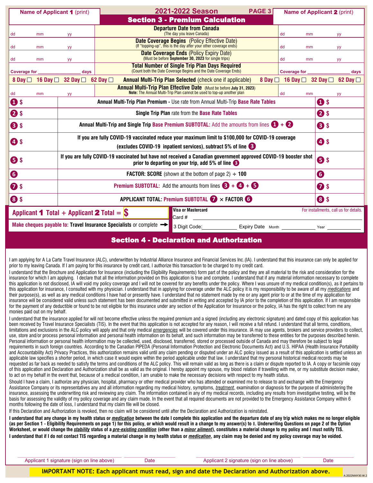| <b>Name of Applicant 1</b> (print) |                                                                                                                                                                               |                                                                                          | 2021-2022 Season                                                                                                                               | PAGE 3       |                             | <b>Name of Applicant 2</b> (print) |
|------------------------------------|-------------------------------------------------------------------------------------------------------------------------------------------------------------------------------|------------------------------------------------------------------------------------------|------------------------------------------------------------------------------------------------------------------------------------------------|--------------|-----------------------------|------------------------------------|
|                                    |                                                                                                                                                                               |                                                                                          | <b>Section 3 - Premium Calculation</b>                                                                                                         |              |                             |                                    |
| dd<br>mm                           | yу                                                                                                                                                                            |                                                                                          | <b>Departure Date from Canada</b><br>(The day you leave Canada)                                                                                |              | dd<br>mm                    | yy                                 |
| dd<br>mm                           | <b>yy</b>                                                                                                                                                                     |                                                                                          | <b>Date Coverage Begins</b> (Policy Effective Date)<br>(If "topping-up", this is the day after your other coverage ends)                       |              | dd<br>mm                    | yy                                 |
| dd<br>mm                           | yy                                                                                                                                                                            |                                                                                          | <b>Date Coverage Ends (Policy Expiry Date)</b><br>(Must be before September 30, 2023 for single trips)                                         |              | dd<br>mm                    | yy                                 |
| <b>Coverage for</b>                | davs                                                                                                                                                                          |                                                                                          | <b>Total Number of Single Trip Plan Days Required</b><br>(Count both the Date Coverage Begins and the Date Coverage Ends)                      |              | <b>Coverage for</b>         | davs                               |
| 8 Day $\Box$ 16 Day $\Box$         | 32 Day $\Box$                                                                                                                                                                 | 62 Day $\Box$                                                                            | <b>Annual Multi-Trip Plan Selected (check one if applicable)</b>                                                                               | 8 Day $\Box$ | 16 Day $\Box$ 32 Day $\Box$ | 62 Day                             |
| dd<br>mm                           | yy                                                                                                                                                                            |                                                                                          | Annual Multi-Trip Plan Effective Date (Must be before July 31, 2023)<br>Note: The Annual Multi-Trip Plan cannot be used to top-up another plan |              | dd<br>mm                    | yy                                 |
| $\mathbf{\Omega}$ s                |                                                                                                                                                                               | <b>Annual Multi-Trip Plan Premium - Use rate from Annual Multi-Trip Base Rate Tables</b> |                                                                                                                                                |              |                             | $\mathbf{O}$ s                     |
| <b>2</b> \$                        |                                                                                                                                                                               |                                                                                          | <b>Single Trip Plan rate from the Base Rate Tables</b>                                                                                         |              |                             | <b>25</b>                          |
| <b>8</b>                           | Annual Multi-Trip and Single Trip Base Premium SUBTOTAL: Add the amounts from lines $\mathbf{0}$ + $\mathbf{2}$<br><b>8</b>                                                   |                                                                                          |                                                                                                                                                |              |                             |                                    |
| <b>45</b>                          | If you are fully COVID-19 vaccinated reduce your maximum limit to \$100,000 for COVID-19 coverage<br><b>45</b><br>(excludes COVID-19 inpatient services), subtract 5% of line |                                                                                          |                                                                                                                                                |              |                             |                                    |
| $\mathbf{\Theta}$ s                | If you are fully COVID-19 vaccinated but have not received a Canadian government approved COVID-19 booster shot<br>B s<br>prior to departing on your trip, add $5\%$ of line  |                                                                                          |                                                                                                                                                |              |                             |                                    |
| $\bullet$                          | 6<br><b>FACTOR: SCORE</b> (shown at the bottom of page 2) $\div$ <b>100</b>                                                                                                   |                                                                                          |                                                                                                                                                |              |                             |                                    |
| $\bullet$ s                        | <b>Premium SUBTOTAL:</b> Add the amounts from lines $\bigotimes + \bigotimes + \bigotimes$<br>$\bullet$                                                                       |                                                                                          |                                                                                                                                                |              |                             |                                    |
| 8\$                                | APPLICANT TOTAL: Premium SUBTOTAL $\bigtriangledown$ × FACTOR $\bigodot$<br>8 s                                                                                               |                                                                                          |                                                                                                                                                |              |                             |                                    |
|                                    | <b>Visa or Mastercard</b><br>For installments, call us for details.<br>Applicant 1 Total + Applicant 2 Total = $\$\$$<br>Card #                                               |                                                                                          |                                                                                                                                                |              |                             |                                    |
|                                    | Make cheques payable to: Travel Insurance Specialists or complete $\rightarrow$<br>3 Digit Code:<br>Expiry Date Month<br>Year                                                 |                                                                                          |                                                                                                                                                |              |                             |                                    |
|                                    |                                                                                                                                                                               |                                                                                          | <b>SALES</b><br>.                                                                                                                              | <b>ALC</b>   |                             |                                    |

Section 4 - Declaration and Authorization

I am applying for A La Carte Travel Insurance (ALC), underwritten by Industrial Alliance Insurance and Financial Services Inc.(IA). I understand that this insurance can only be applied for prior to my leaving Canada. If I am paying for this insurance by credit card, I authorize this transaction to be charged to my credit card.

I understand that the Brochure and Application for Insurance (including the Eligibility Requirements) form part of the policy and they are all material to the risk and consideration for the insurance for which I am applying. I declare that all the information provided on this application is true and complete. I understand that if any material information necessary to complete this application is not disclosed, IA will void my policy coverage and I will not be covered for any benefits under the policy. Where I was unsure of my medical condition(s), as it pertains to this application for insurance, I consulted with my physician. I understand that in applying for coverage under the ALC policy it is my responsibility to be aware of all my *medications* and their purpose(s), as well as any medical conditions I have had or presently have. I understand that no statement made by me or any agent prior to or at the time of my application for insurance will be considered valid unless such statement has been documented and submitted in writing and accepted by IA prior to the completion of this application. If I am responsible for the payment of any deductible or found to be not eligible for this insurance under any section of the Application for Insurance or the policy, IA has the right to collect from me any monies paid out on my behalf.

I understand that the insurance applied for will not become effective unless the required premium and a signed (including any electronic signature) and dated copy of this application has been received by Travel Insurance Specialists (TIS). In the event that this application is not accepted for any reason, I will receive a full refund. I understand that all terms, conditions, limitations and exclusions in the ALC policy will apply and that only medical *emergencies* will be covered under this insurance. IA may use agents, brokers and service providers to collect, use, store and/or process personal information and personal health information on its behalf, and such information may be transferred to these entities for the purposes described herein. Personal information or personal health information may be collected, used, disclosed, transferred, stored or processed outside of Canada and may therefore be subject to legal requirements in such foreign countries. According to the Canadian PIPEDA (Personal Information Protection and Electronic Documents Act) and U.S. HIPAA (Health Insurance Portability and Accountability Act) Privacy Practices, this authorization remains valid until any claim pending or disputed under an ALC policy issued as a result of this application is settled unless an applicable law specifies a shorter period, in which case it would expire within the period applicable under that law. I understand that my personal historical medical records may be requested as far back as needed to satisfy the terms and conditions of the ALC policy. This will remain valid as long as there is a claim or dispute reported to IA. A copy or facsimile copy of this application and Declaration and Authorization shall be as valid as the original. I hereby appoint my spouse, my blood relation if travelling with me, or my substitute decision maker, to act on my behalf in the event that, because of a medical condition, I am unable to make the necessary decisions with respect to my health status.

Should I have a claim, I authorize any physician, hospital, pharmacy or other medical provider who has attended or examined me to release to and exchange with the Emergency Assistance Company or its representatives any and all information regarding my medical history, symptoms, *treatment*, examination or diagnosis for the purpose of administering the insurance, assessing the underwriting risk and reviewing any claim. The information contained in any of my medical records, including any results from investigative testing, will be the basis for assessing the validity of my policy coverage and any claim made. In the event that all required documents are not provided to the Emergency Assistance Company within 6 months following the date of loss, I understand that my claim file will be closed.

If this Declaration and Authorization is revoked, then no claim will be considered until after the Declaration and Authorization is reinstated.

**I understand that any change in my health status or** *medication* **between the date I complete this application and the departure date of any trip which makes me no longer eligible (as per Section 1 - Eligibility Requirements on page 1) for this policy, or which would result in a change to my answer(s) to I. Underwriting Questions on page 2 of the Option Worksheet, or would change the** *stability* **status of a** *pre-existing condition* **(other than a** *minor ailment***), constitutes a material change to my policy and I must notify TIS.** I understand that if I do not contact TIS regarding a material change in my health status or *medication*, any claim may be denied and my policy coverage may be voided.

Applicant 1 signature (sign on line above) Date Applicant 2 signature (sign on line above) Date

A.2022MAY30.W.2

**IMPORTANT NOTE: Each applicant must read, sign and date the Declaration and Authorization above.**